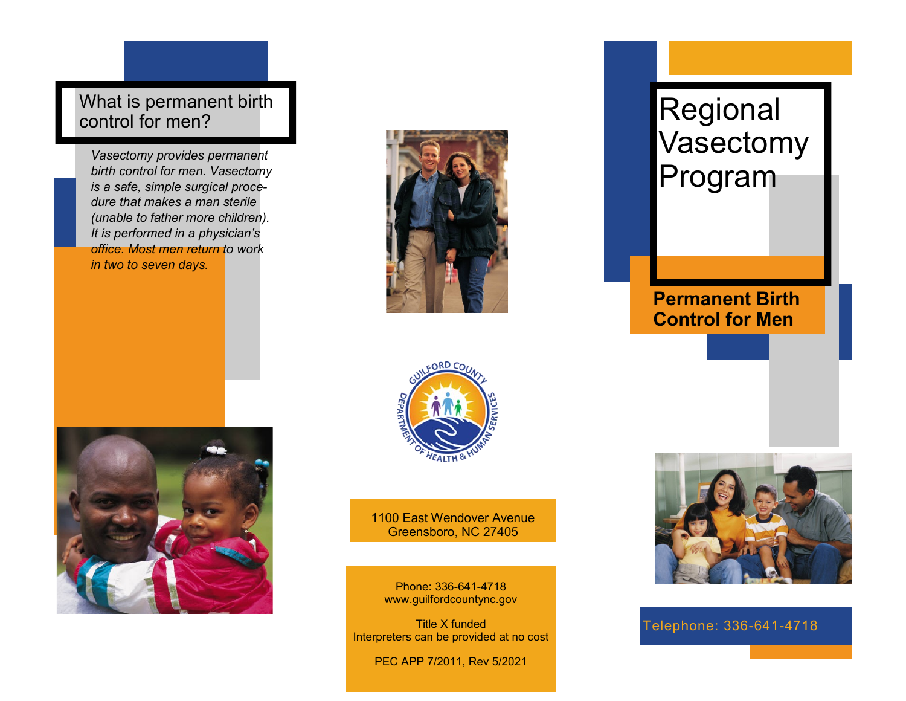What is permanent birth control for men?

*Vasectomy provides permanent birth control for men. Vasectomy is a safe, simple surgical procedure that makes a man sterile (unable to father more children). It is performed in a physician's office. Most men return to work in two to seven days.* 





1100 East Wendover Avenue Greensboro, NC 27405

Phone: 336-641-4718 www.guilfordcountync.gov

Title X funded Interpreters can be provided at no cost

PEC APP 7/2011, Rev 5/2021



**Permanent Birth Control for Men**



Telephone: 336-641-4718